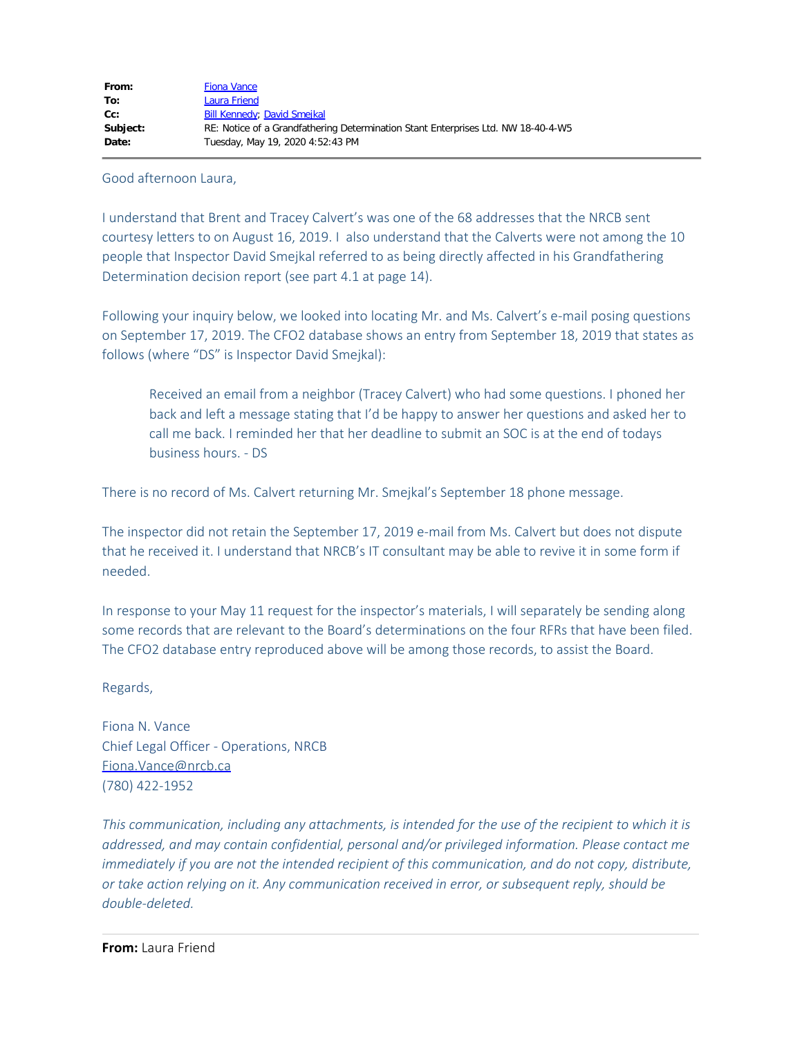Good afternoon Laura,

I understand that Brent and Tracey Calvert's was one of the 68 addresses that the NRCB sent courtesy letters to on August 16, 2019. I also understand that the Calverts were not among the 10 people that Inspector David Smejkal referred to as being directly affected in his Grandfathering Determination decision report (see part 4.1 at page 14).

Following your inquiry below, we looked into locating Mr. and Ms. Calvert's e-mail posing questions on September 17, 2019. The CFO2 database shows an entry from September 18, 2019 that states as follows (where "DS" is Inspector David Smejkal):

Received an email from a neighbor (Tracey Calvert) who had some questions. I phoned her back and left a message stating that I'd be happy to answer her questions and asked her to call me back. I reminded her that her deadline to submit an SOC is at the end of todays business hours. - DS

There is no record of Ms. Calvert returning Mr. Smejkal's September 18 phone message.

The inspector did not retain the September 17, 2019 e-mail from Ms. Calvert but does not dispute that he received it. I understand that NRCB's IT consultant may be able to revive it in some form if needed.

In response to your May 11 request for the inspector's materials, I will separately be sending along some records that are relevant to the Board's determinations on the four RFRs that have been filed. The CFO2 database entry reproduced above will be among those records, to assist the Board.

## Regards,

Fiona N. Vance Chief Legal Officer - Operations, NRCB [Fiona.Vance@nrcb.ca](mailto:Fiona.Vance@nrcb.ca) (780) 422-1952

*This communication, including any attachments, is intended for the use of the recipient to which it is addressed, and may contain confidential, personal and/or privileged information. Please contact me immediately if you are not the intended recipient of this communication, and do not copy, distribute, or take action relying on it. Any communication received in error, or subsequent reply, should be double-deleted.*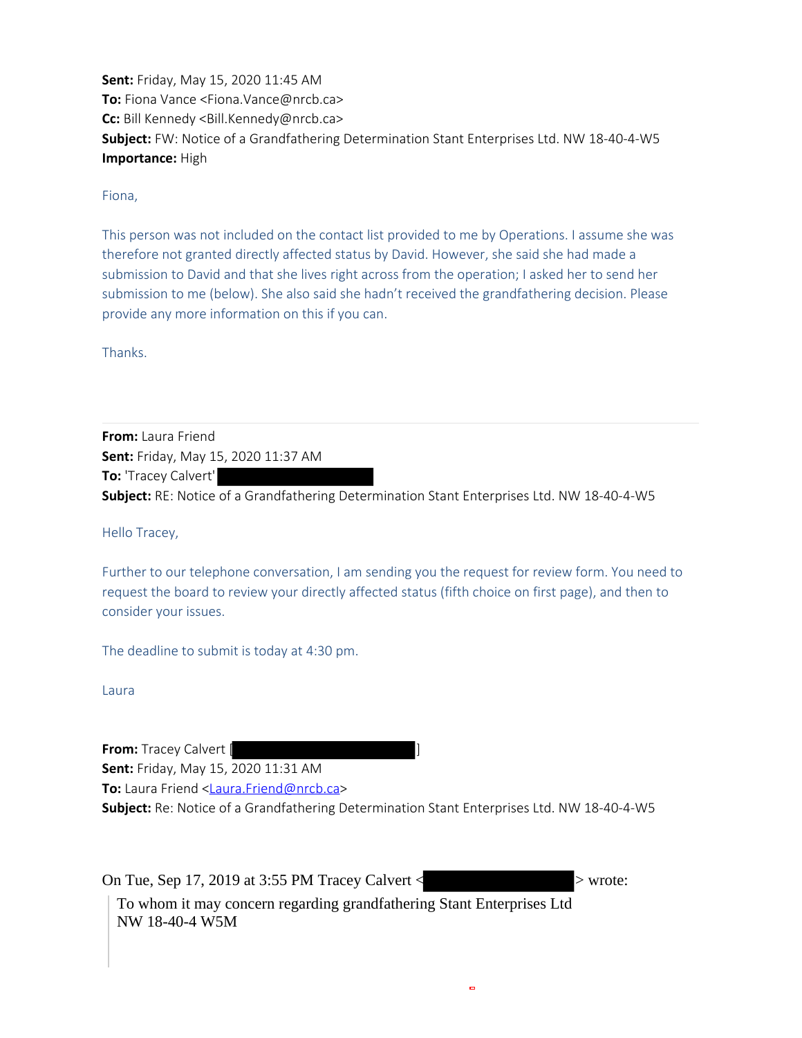**Sent:** Friday, May 15, 2020 11:45 AM **To:** Fiona Vance <Fiona.Vance@nrcb.ca> **Cc:** Bill Kennedy <Bill.Kennedy@nrcb.ca> **Subject:** FW: Notice of a Grandfathering Determination Stant Enterprises Ltd. NW 18-40-4-W5 **Importance:** High

Fiona,

This person was not included on the contact list provided to me by Operations. I assume she was therefore not granted directly affected status by David. However, she said she had made a submission to David and that she lives right across from the operation; I asked her to send her submission to me (below). She also said she hadn't received the grandfathering decision. Please provide any more information on this if you can.

Thanks.

**From:** Laura Friend **Sent:** Friday, May 15, 2020 11:37 AM **To:** 'Tracey Calvert' **Subject:** RE: Notice of a Grandfathering Determination Stant Enterprises Ltd. NW 18-40-4-W5

Hello Tracey,

Further to our telephone conversation, I am sending you the request for review form. You need to request the board to review your directly affected status (fifth choice on first page), and then to consider your issues.

The deadline to submit is today at 4:30 pm.

Laura

**From:** Tracey Calvert [ ] **Sent:** Friday, May 15, 2020 11:31 AM **To:** Laura Friend <[Laura.Friend@nrcb.ca>](mailto:Laura.Friend@nrcb.ca) **Subject:** Re: Notice of a Grandfathering Determination Stant Enterprises Ltd. NW 18-40-4-W5

On Tue, Sep 17, 2019 at 3:55 PM Tracey Calvert  $\langle$  > wrote: To whom it may concern regarding grandfathering Stant Enterprises Ltd NW 18-40-4 W5M

 $\blacksquare$